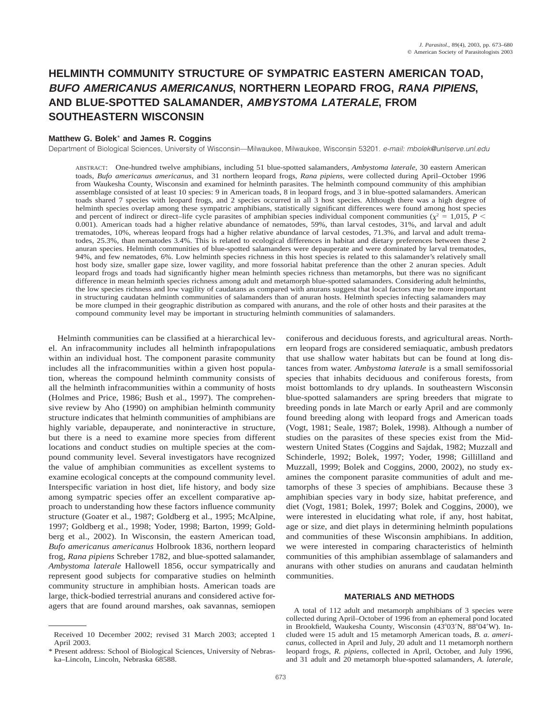# **HELMINTH COMMUNITY STRUCTURE OF SYMPATRIC EASTERN AMERICAN TOAD, BUFO AMERICANUS AMERICANUS, NORTHERN LEOPARD FROG, RANA PIPIENS, AND BLUE-SPOTTED SALAMANDER, AMBYSTOMA LATERALE, FROM SOUTHEASTERN WISCONSIN**

## **Matthew G. Bolek**\* **and James R. Coggins**

Department of Biological Sciences, University of Wisconsin-Milwaukee, Milwaukee, Wisconsin 53201. e-mail: mbolek@unlserve.unl.edu

ABSTRACT: One-hundred twelve amphibians, including 51 blue-spotted salamanders, *Ambystoma laterale*, 30 eastern American toads, *Bufo americanus americanus*, and 31 northern leopard frogs, *Rana pipiens*, were collected during April–October 1996 from Waukesha County, Wisconsin and examined for helminth parasites. The helminth compound community of this amphibian assemblage consisted of at least 10 species: 9 in American toads, 8 in leopard frogs, and 3 in blue-spotted salamanders. American toads shared 7 species with leopard frogs, and 2 species occurred in all 3 host species. Although there was a high degree of helminth species overlap among these sympatric amphibians, statistically significant differences were found among host species and percent of indirect or direct–life cycle parasites of amphibian species individual component communities ( $\chi^2 = 1.015$ , *P* < 0.001). American toads had a higher relative abundance of nematodes, 59%, than larval cestodes, 31%, and larval and adult trematodes, 10%, whereas leopard frogs had a higher relative abundance of larval cestodes, 71.3%, and larval and adult trematodes, 25.3%, than nematodes 3.4%. This is related to ecological differences in habitat and dietary preferences between these 2 anuran species. Helminth communities of blue-spotted salamanders were depauperate and were dominated by larval trematodes, 94%, and few nematodes, 6%. Low helminth species richness in this host species is related to this salamander's relatively small host body size, smaller gape size, lower vagility, and more fossorial habitat preference than the other 2 anuran species. Adult leopard frogs and toads had significantly higher mean helminth species richness than metamorphs, but there was no significant difference in mean helminth species richness among adult and metamorph blue-spotted salamanders. Considering adult helminths, the low species richness and low vagility of caudatans as compared with anurans suggest that local factors may be more important in structuring caudatan helminth communities of salamanders than of anuran hosts. Helminth species infecting salamanders may be more clumped in their geographic distribution as compared with anurans, and the role of other hosts and their parasites at the compound community level may be important in structuring helminth communities of salamanders.

Helminth communities can be classified at a hierarchical level. An infracommunity includes all helminth infrapopulations within an individual host. The component parasite community includes all the infracommunities within a given host population, whereas the compound helminth community consists of all the helminth infracommunities within a community of hosts (Holmes and Price, 1986; Bush et al., 1997). The comprehensive review by Aho (1990) on amphibian helminth community structure indicates that helminth communities of amphibians are highly variable, depauperate, and noninteractive in structure, but there is a need to examine more species from different locations and conduct studies on multiple species at the compound community level. Several investigators have recognized the value of amphibian communities as excellent systems to examine ecological concepts at the compound community level. Interspecific variation in host diet, life history, and body size among sympatric species offer an excellent comparative approach to understanding how these factors influence community structure (Goater et al., 1987; Goldberg et al., 1995; McAlpine, 1997; Goldberg et al., 1998; Yoder, 1998; Barton, 1999; Goldberg et al., 2002). In Wisconsin, the eastern American toad, *Bufo americanus americanus* Holbrook 1836, northern leopard frog, *Rana pipiens* Schreber 1782, and blue-spotted salamander, *Ambystoma laterale* Hallowell 1856, occur sympatrically and represent good subjects for comparative studies on helminth community structure in amphibian hosts. American toads are large, thick-bodied terrestrial anurans and considered active foragers that are found around marshes, oak savannas, semiopen coniferous and deciduous forests, and agricultural areas. Northern leopard frogs are considered semiaquatic, ambush predators that use shallow water habitats but can be found at long distances from water. *Ambystoma laterale* is a small semifossorial species that inhabits deciduous and coniferous forests, from moist bottomlands to dry uplands. In southeastern Wisconsin blue-spotted salamanders are spring breeders that migrate to breeding ponds in late March or early April and are commonly found breeding along with leopard frogs and American toads (Vogt, 1981; Seale, 1987; Bolek, 1998). Although a number of studies on the parasites of these species exist from the Midwestern United States (Coggins and Sajdak, 1982; Muzzall and Schinderle, 1992; Bolek, 1997; Yoder, 1998; Gillilland and Muzzall, 1999; Bolek and Coggins, 2000, 2002), no study examines the component parasite communities of adult and metamorphs of these 3 species of amphibians. Because these 3 amphibian species vary in body size, habitat preference, and diet (Vogt, 1981; Bolek, 1997; Bolek and Coggins, 2000), we were interested in elucidating what role, if any, host habitat, age or size, and diet plays in determining helminth populations and communities of these Wisconsin amphibians. In addition, we were interested in comparing characteristics of helminth communities of this amphibian assemblage of salamanders and anurans with other studies on anurans and caudatan helminth communities.

## **MATERIALS AND METHODS**

A total of 112 adult and metamorph amphibians of 3 species were collected during April–October of 1996 from an ephemeral pond located in Brookfield, Waukesha County, Wisconsin (43°03'N, 88°04'W). Included were 15 adult and 15 metamorph American toads, *B. a. americanus*, collected in April and July, 20 adult and 11 metamorph northern leopard frogs, *R. pipiens*, collected in April, October, and July 1996, and 31 adult and 20 metamorph blue-spotted salamanders, *A. laterale*,

Received 10 December 2002; revised 31 March 2003; accepted 1 April 2003.

<sup>\*</sup> Present address: School of Biological Sciences, University of Nebraska–Lincoln, Lincoln, Nebraska 68588.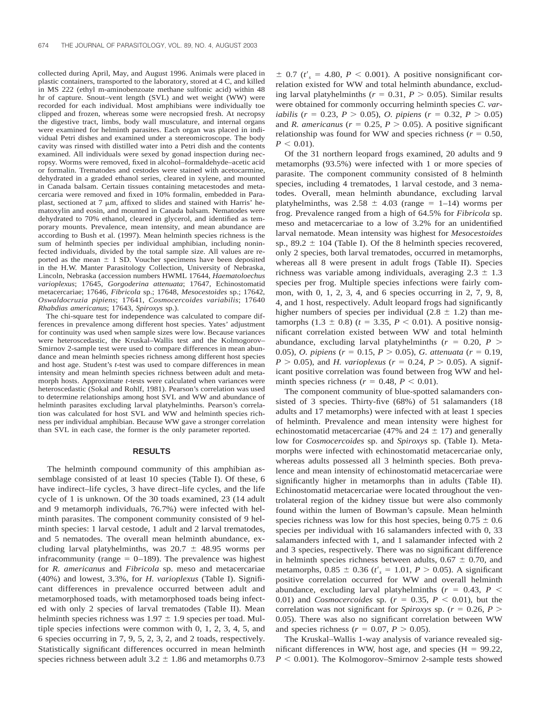collected during April, May, and August 1996. Animals were placed in plastic containers, transported to the laboratory, stored at 4 C, and killed in MS 222 (ethyl m-aminobenzoate methane sulfonic acid) within 48 hr of capture. Snout–vent length (SVL) and wet weight (WW) were recorded for each individual. Most amphibians were individually toe clipped and frozen, whereas some were necropsied fresh. At necropsy the digestive tract, limbs, body wall musculature, and internal organs were examined for helminth parasites. Each organ was placed in individual Petri dishes and examined under a stereomicroscope. The body cavity was rinsed with distilled water into a Petri dish and the contents examined. All individuals were sexed by gonad inspection during necropsy. Worms were removed, fixed in alcohol–formaldehyde–acetic acid or formalin. Trematodes and cestodes were stained with acetocarmine, dehydrated in a graded ethanol series, cleared in xylene, and mounted in Canada balsam. Certain tissues containing metacestodes and metacercaria were removed and fixed in 10% formalin, embedded in Paraplast, sectioned at 7  $\mu$ m, affixed to slides and stained with Harris' hematoxylin and eosin, and mounted in Canada balsam. Nematodes were dehydrated to 70% ethanol, cleared in glycerol, and identified as temporary mounts. Prevalence, mean intensity, and mean abundance are according to Bush et al. (1997). Mean helminth species richness is the sum of helminth species per individual amphibian, including noninfected individuals, divided by the total sample size. All values are reported as the mean  $\pm$  1 SD. Voucher specimens have been deposited in the H.W. Manter Parasitology Collection, University of Nebraska, Lincoln, Nebraska (accession numbers HWML 17644, *Haematoloechus varioplexus*; 17645, *Gorgoderina attenuata*; 17647, Echinostomatid metacercariae; 17646, *Fibricola* sp.; 17648, *Mesocestoides* sp.; 17642, *Oswaldocruzia pipiens*; 17641, *Cosmocercoides variabilis*; 17640 *Rhabdias americanus*; 17643, *Spiroxys* sp.).

The chi-square test for independence was calculated to compare differences in prevalence among different host species. Yates' adjustment for continuity was used when sample sizes were low. Because variances were heteroscedastic, the Kruskal–Wallis test and the Kolmogorov– Smirnov 2-sample test were used to compare differences in mean abundance and mean helminth species richness among different host species and host age. Student's *t*-test was used to compare differences in mean intensity and mean helminth species richness between adult and metamorph hosts. Approximate *t*-tests were calculated when variances were heteroscedastic (Sokal and Rohlf, 1981). Pearson's correlation was used to determine relationships among host SVL and WW and abundance of helminth parasites excluding larval platyhelminths. Pearson's correlation was calculated for host SVL and WW and helminth species richness per individual amphibian. Because WW gave a stronger correlation than SVL in each case, the former is the only parameter reported.

## **RESULTS**

The helminth compound community of this amphibian assemblage consisted of at least 10 species (Table I). Of these, 6 have indirect–life cycles, 3 have direct–life cycles, and the life cycle of 1 is unknown. Of the 30 toads examined, 23 (14 adult and 9 metamorph individuals, 76.7%) were infected with helminth parasites. The component community consisted of 9 helminth species: 1 larval cestode, 1 adult and 2 larval trematodes, and 5 nematodes. The overall mean helminth abundance, excluding larval platyhelminths, was  $20.7 \pm 48.95$  worms per infracommunity (range  $= 0-189$ ). The prevalence was highest for *R. americanus* and *Fibricola* sp. meso and metacercariae (40%) and lowest, 3.3%, for *H. varioplexus* (Table I). Significant differences in prevalence occurred between adult and metamorphosed toads, with metamorphosed toads being infected with only 2 species of larval trematodes (Table II). Mean helminth species richness was  $1.97 \pm 1.9$  species per toad. Multiple species infections were common with 0, 1, 2, 3, 4, 5, and 6 species occurring in 7, 9, 5, 2, 3, 2, and 2 toads, respectively. Statistically significant differences occurred in mean helminth species richness between adult  $3.2 \pm 1.86$  and metamorphs 0.73  $\pm$  0.7 ( $t_s'$  = 4.80,  $P < 0.001$ ). A positive nonsignificant correlation existed for WW and total helminth abundance, excluding larval platyhelminths ( $r = 0.31$ ,  $P > 0.05$ ). Similar results were obtained for commonly occurring helminth species *C. variabilis* ( $r = 0.23$ ,  $P > 0.05$ ), *O. pipiens* ( $r = 0.32$ ,  $P > 0.05$ ) and *R. americanus* ( $r = 0.25$ ,  $P > 0.05$ ). A positive significant relationship was found for WW and species richness ( $r = 0.50$ ,  $P < 0.01$ ).

Of the 31 northern leopard frogs examined, 20 adults and 9 metamorphs (93.5%) were infected with 1 or more species of parasite. The component community consisted of 8 helminth species, including 4 trematodes, 1 larval cestode, and 3 nematodes. Overall, mean helminth abundance, excluding larval platyhelminths, was  $2.58 \pm 4.03$  (range = 1–14) worms per frog. Prevalence ranged from a high of 64.5% for *Fibricola* sp. meso and metacercariae to a low of 3.2% for an unidentified larval nematode. Mean intensity was highest for *Mesocestoides* sp., 89.2  $\pm$  104 (Table I). Of the 8 helminth species recovered, only 2 species, both larval trematodes, occurred in metamorphs, whereas all 8 were present in adult frogs (Table II). Species richness was variable among individuals, averaging  $2.3 \pm 1.3$ species per frog. Multiple species infections were fairly common, with 0, 1, 2, 3, 4, and 6 species occurring in 2, 7, 9, 8, 4, and 1 host, respectively. Adult leopard frogs had significantly higher numbers of species per individual (2.8  $\pm$  1.2) than metamorphs  $(1.3 \pm 0.8)$  ( $t = 3.35$ ,  $P < 0.01$ ). A positive nonsignificant correlation existed between WW and total helminth abundance, excluding larval platyhelminths  $(r = 0.20, P >$ 0.05), *O. pipiens* ( $r = 0.15$ ,  $P > 0.05$ ), *G. attenuata* ( $r = 0.19$ ,  $P > 0.05$ ), and *H. varioplexus* ( $r = 0.24, P > 0.05$ ). A significant positive correlation was found between frog WW and helminth species richness ( $r = 0.48$ ,  $P < 0.01$ ).

The component community of blue-spotted salamanders consisted of 3 species. Thirty-five (68%) of 51 salamanders (18 adults and 17 metamorphs) were infected with at least 1 species of helminth. Prevalence and mean intensity were highest for echinostomatid metacercariae (47% and 24  $\pm$  17) and generally low for *Cosmocercoides* sp. and *Spiroxys* sp. (Table I). Metamorphs were infected with echinostomatid metacercariae only, whereas adults possessed all 3 helminth species. Both prevalence and mean intensity of echinostomatid metacercariae were significantly higher in metamorphs than in adults (Table II). Echinostomatid metacercariae were located throughout the ventrolateral region of the kidney tissue but were also commonly found within the lumen of Bowman's capsule. Mean helminth species richness was low for this host species, being  $0.75 \pm 0.6$ species per individual with 16 salamanders infected with 0, 33 salamanders infected with 1, and 1 salamander infected with 2 and 3 species, respectively. There was no significant difference in helminth species richness between adults,  $0.67 \pm 0.70$ , and metamorphs,  $0.85 \pm 0.36$  ( $t_s' = 1.01$ ,  $P > 0.05$ ). A significant positive correlation occurred for WW and overall helminth abundance, excluding larval platyhelminths ( $r = 0.43$ ,  $P <$ 0.01) and *Cosmocercoides* sp. ( $r = 0.35$ ,  $P < 0.01$ ), but the correlation was not significant for *Spiroxys* sp. ( $r = 0.26$ ,  $P$  > 0.05). There was also no significant correlation between WW and species richness ( $r = 0.07$ ,  $P > 0.05$ ).

The Kruskal–Wallis 1-way analysis of variance revealed significant differences in WW, host age, and species  $(H = 99.22,$  $P < 0.001$ ). The Kolmogorov–Smirnov 2-sample tests showed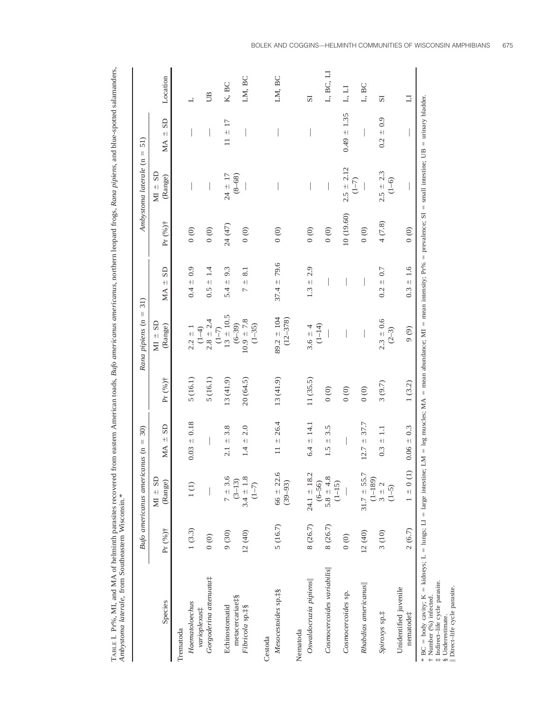|                                                                                                                                                                                            |                                        | Bufo americanus americanus (n  | $\overline{30}$<br>$\vert\vert$                    |                                              | Rana pipiens $(n =$            | 31)                                                 |                                        | Ambystoma laterale $(n =$   | $\overline{51}$  |                          |
|--------------------------------------------------------------------------------------------------------------------------------------------------------------------------------------------|----------------------------------------|--------------------------------|----------------------------------------------------|----------------------------------------------|--------------------------------|-----------------------------------------------------|----------------------------------------|-----------------------------|------------------|--------------------------|
| Species                                                                                                                                                                                    | Pr (%)+                                | $M = SD$<br>(Range)            | $\overline{\text{SD}}$<br>$\ddagger$<br>$M\Lambda$ | $Pr(96)$ †                                   | $M = SD$<br>(Range)            | <b>G</b><br>$+1$<br>MA                              | Pr (%)†                                | $M \pm SD$<br>(Range)       | SD<br>$+1$<br>MA | Location                 |
| Trematoda                                                                                                                                                                                  |                                        |                                |                                                    |                                              |                                |                                                     |                                        |                             |                  |                          |
| Haematoloechus<br>varioplexust                                                                                                                                                             | 1(3.3)                                 | 1(1)                           | $0.03 \pm 0.18$                                    | 5(16.1)                                      | $2.2 \pm 1$<br>$(1-4)$         | $0.4 \pm 0.9$                                       | $\begin{matrix} 0 \\ 0 \end{matrix}$   |                             |                  | $\overline{\phantom{0}}$ |
| Gorgoderina attenuata <sup>†</sup>                                                                                                                                                         | 0(0)                                   |                                |                                                    | 5(16.1)                                      | $2.8 \pm 2.4$<br>$(1 - 7)$     | 1.4<br>$+1$<br>$\ddot{0}.\ddot{5}$                  | 0(0)                                   |                             |                  | <b>S</b>                 |
| Echinostomatid                                                                                                                                                                             | 9(30)                                  | $7 \pm 3.6$<br>$(3 - 13)$      | 3.8<br>$+1$<br>$\frac{1}{2}$                       | 13(41.9)                                     | $13 \pm 10.5$<br>$(6 - 39)$    | 9.3<br>$+1$<br>5.4                                  | 24 (47)                                | $24 \pm 17$<br>$(8 - 68)$   | ± 17<br>$\equiv$ | K, BC                    |
| metacercariae#§<br>Fibricola sp.‡§                                                                                                                                                         | 12(40)                                 | $3.4 \pm 1.8$<br>$(1 - 7)$     | 2.0<br>$\frac{+1}{1}$                              | 20(64.5)                                     | $10.9 \pm 7.8$<br>$(1 - 35)$   | $\overline{8.1}$<br>$\frac{1}{2}$<br>$\overline{a}$ | 0(0)                                   |                             |                  | LM, BC                   |
| Cestoda                                                                                                                                                                                    |                                        |                                |                                                    |                                              |                                |                                                     |                                        |                             |                  |                          |
| Mesocestoides sp.‡§                                                                                                                                                                        | 5(16.7)                                | $66 \pm 22.6$<br>$(39 - 93)$   | $- 26.4$<br>$\equiv$                               | 13(41.9)                                     | $89.2 \pm 104$<br>$(12 - 378)$ | $37.4 \pm 79.6$                                     | 0(0)                                   |                             |                  | LM, BC                   |
| Nematoda                                                                                                                                                                                   |                                        |                                |                                                    |                                              |                                |                                                     |                                        |                             |                  |                          |
| Oswaldocruzia pipiens                                                                                                                                                                      | 8 (26.7)                               | $24.1 \pm 18.2$<br>$(6 - 56)$  | $±$ 14.1<br>6.4                                    | 11(35.5)                                     | $(1 - 14)$<br>$3.6 \pm 4$      | 2.9<br>$+1$<br>$1.\overline{3}$                     | 0(0)                                   |                             |                  | 51                       |
| Cosmocercoides variabilis                                                                                                                                                                  | 8(26.7)                                | $5.8 \pm 4.8$<br>$(1 - 15)$    | 3.5<br>$+1$<br>1.5                                 | $\begin{pmatrix} 0 \\ 0 \end{pmatrix}$       |                                |                                                     | $\begin{pmatrix} 0 \\ 0 \end{pmatrix}$ |                             |                  | L, BC, LI                |
| Cosmocercoides sp.                                                                                                                                                                         | $\begin{pmatrix} 0 \\ 0 \end{pmatrix}$ |                                |                                                    | $\begin{matrix} 0 & 0 \\ 0 & 0 \end{matrix}$ |                                |                                                     | 10 (19.60)                             | $2.5 \pm 2.12$<br>$(1 - 7)$ | $0.49 \pm 1.35$  | L, LI                    |
| Rhabdias americanus                                                                                                                                                                        | 12(40)                                 | $31.7 \pm 55.7$<br>$(1 - 189)$ | $12.7 \pm 37.7$                                    | $\begin{matrix} 0 & 0 \\ 0 & 0 \end{matrix}$ |                                |                                                     | 0(0)                                   |                             |                  | L, BC                    |
| Spiroxys sp.‡                                                                                                                                                                              | 3(10)                                  | $3 \pm 2$<br>$(1 - 5)$         | $0.3 \pm 1.1$                                      | 3(9.7)                                       | $2.3 \pm 0.6$<br>$(2-3)$       | $0.2 \pm 0.7$                                       | 4(7.8)                                 | $2.5 = 2.3$<br>$(1 - 6)$    | $0.2 \pm 0.9$    | $\overline{S}$           |
| Unidentified juvenile<br>nematode <sup>+</sup>                                                                                                                                             | 2(6.7)                                 | $1 \pm 0$ (1)                  | $0.06 \pm 0.3$                                     | 1(3.2)                                       | 9(9)                           | $0.3 \pm 1.6$                                       | 0(0)                                   |                             |                  | $\overline{\mathbf{H}}$  |
| * BC = body cavity; K = kidneys; L = lungs; L1 = large intestine; LM = leg muscles; MA = mean abundance; M = mean intensity; Pr% = prevalence; SI = small intestine; UB = urinary bladder. |                                        |                                |                                                    |                                              |                                |                                                     |                                        |                             |                  |                          |

| j<br>i<br>j                                                                 |                      |
|-----------------------------------------------------------------------------|----------------------|
| ţ<br>l                                                                      |                      |
| $\sim$                                                                      |                      |
| i<br>j                                                                      |                      |
| ֕                                                                           |                      |
| ċ                                                                           |                      |
|                                                                             |                      |
| ים ביו<br>י<br>DIUG-3                                                       |                      |
| l<br>ç<br>$\overline{a}$                                                    |                      |
|                                                                             |                      |
| $\sim$ 0.000 $\sim$ 0.000 $\sim$ 0.000 $\sim$                               |                      |
|                                                                             |                      |
|                                                                             |                      |
| į                                                                           |                      |
| ì<br>I                                                                      |                      |
| Jes.<br>こうしゅう しゅくしょ                                                         |                      |
| i                                                                           |                      |
| ì                                                                           |                      |
| ١                                                                           |                      |
|                                                                             |                      |
|                                                                             |                      |
| .<br>י<br>i                                                                 |                      |
| こうしょう こうしょうしょう こうこくしゃ                                                       |                      |
| ,,,,,,,,,,,,,,,                                                             |                      |
|                                                                             |                      |
|                                                                             |                      |
|                                                                             |                      |
| CONTRACTOR CARACTERY                                                        |                      |
|                                                                             |                      |
| ì                                                                           |                      |
| $B$ <sub>11</sub> $+$ $\alpha$ $\alpha$ $\alpha$ $\alpha$ $\alpha$ $\alpha$ |                      |
| I                                                                           |                      |
| Ï                                                                           |                      |
| ICOH TOOL<br>j                                                              |                      |
|                                                                             |                      |
|                                                                             |                      |
|                                                                             |                      |
| mom esctern Ameri<br>ı                                                      |                      |
|                                                                             |                      |
| $\frac{1}{2}$                                                               |                      |
| í                                                                           |                      |
| $\frac{1}{2}$                                                               |                      |
|                                                                             |                      |
|                                                                             |                      |
|                                                                             |                      |
|                                                                             |                      |
|                                                                             |                      |
|                                                                             | Ì                    |
|                                                                             | -<br>-<br>-          |
|                                                                             |                      |
|                                                                             | ļ<br>Ï               |
|                                                                             | $\ddot{\phantom{a}}$ |
|                                                                             |                      |
|                                                                             |                      |
|                                                                             |                      |
|                                                                             |                      |
|                                                                             |                      |
|                                                                             |                      |
|                                                                             |                      |
|                                                                             |                      |
| <br> <br> <br>                                                              |                      |
|                                                                             |                      |

† Number (%) infected. \*  $BC = body cavity; K = kidn$ <br>
† Number (%) infected.<br>
‡ Indirect–life cycle parasite.<br>
§ Underestimate.<br>
© Direct–life cycle parasite.

‡ Indirect–life cycle parasite.

§ Underestimate.

Direct–life cycle parasite.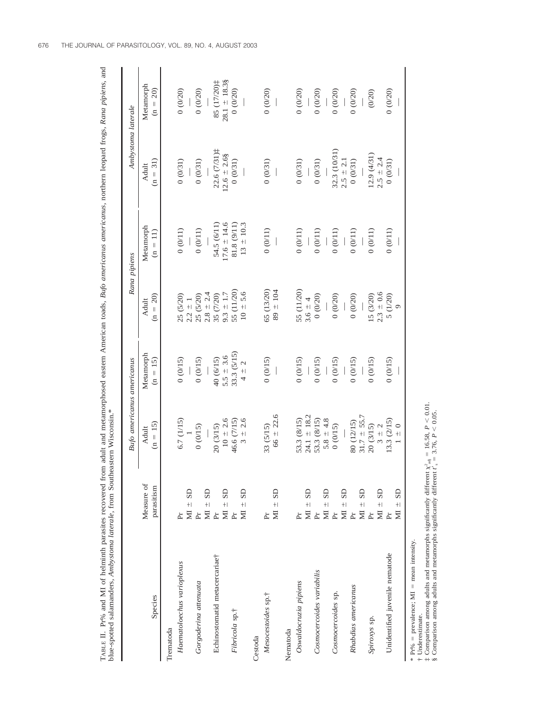| $(n = 20)$<br>0(0/20)<br>0(0/20)<br>0(0/20)<br>(0.20)<br>(0.20)<br>(0.20)<br>0(0/20)<br>(0/20)<br>(0/20)<br>$22.6(7/31)$ ‡<br>32.3 (10/31)<br>$12.6 \pm 2.6$ §<br>12.9(4/31)<br>$2.5 = 2.4$<br>$2.5 \pm 2.1$<br>$(n = 31)$<br>0(0/31)<br>0(0/31)<br>0(0/31)<br>0(0/31)<br>(0.6031)<br>(0.6031)<br>0(0/31)<br>0(0/31)<br>Adult<br>$17.6 \pm 14.6$<br>81.8 (9/11)<br>$13 \pm 10.3$<br>54.5 (6/11)<br>Metamorph<br>0(0/11)<br>0(0/11)<br>0(0/11)<br>0(0/11)<br>0(0/11)<br>(0.11)<br>0(0/11)<br>(0(11)<br>0(0/11)<br>$(n = 11)$<br>55 (11/20)<br>65 (13/20)<br>$89 \pm 104$<br>55 (11/20)<br>$10 = 5.6$<br>$2.2 \pm 1$<br>$2.5 (5/20)$<br>$2.8 \pm 2.4$<br>$2.3 = 0.6$<br>$9.3 \pm 1.7$<br>35 (7/20)<br>25 (5/20)<br>0(0/20)<br>(0.20)<br>15 (3/20)<br>5 (1/20)<br>$(n = 20)$<br>(0/20)<br>$3.6 \pm 4$<br>Adult<br>$\circ$<br>33.3 (5/15)<br>Metamorph<br>$5.5 \pm 3.6$<br>(0.15)<br>0(0/15)<br>$(n = 15)$<br>40 (6/15)<br>(0.15)<br>0(0/15)<br>(0.15)<br>(0.15)<br>(0.15)<br>(0.15)<br>0(0/15)<br>$4 + 2$<br>$66 \pm 22.6$<br>$31.7 \pm 55.7$<br>$24.1 \pm 18.2$<br>53.3 (8/15)<br>$10 \pm 2.6$<br>6.7 (1/15)<br>46.6 (7/15)<br>$3 \pm 2.6$<br>53.3 (8/15)<br>$5.8 \pm 4.8$<br>13.3 (2/15)<br>80 (12/15)<br>$(n = 15)$<br>20 (3/15)<br>$1 \pm 0$<br>0(0/15)<br>$3 \pm 2$<br>0(0/15)<br>20 (3/15)<br>33 (5/15)<br>Adult<br>Measure of<br>parasitism<br>$_{\rm SD}$<br><b>GS</b><br>SD<br>$_{\rm SD}$<br>$_{\rm SD}$<br>SD<br>$_{\rm SD}$<br>$_{\rm SD}$<br>$_{\rm SD}$<br>$_{\rm SD}$<br>$_{\rm SD}$<br>$\overline{M}$ $\overline{\overline{L}}$<br>$\overline{M}$ $\overline{+}$<br>$\overline{M}$ $\overline{B}$<br>$\overline{M}$ $\overline{\phantom{a}}$<br>$\overline{M}$ $\overline{\overline{L}}$<br>$+1$<br>$\overline{M}$ $\overline{\overline{L}}$<br>$\ddot{+}$<br>$\overline{M}$ $\overline{H}$<br>$+1$<br>$\pm$<br>ΣÏ<br>ΣI<br>ΣI<br>ΣI<br>Pr<br>Èr<br>$\mathbf{F}$<br>$\mathbf{P}_{\mathbf{I}}$<br>Èr<br>Èr<br>$\mathbf{F}$<br>$\rm Pr$<br>Èr<br>Èŗ<br>Èr<br>Unidentified juvenile nematode<br>Echinostomatid metacercariae <sup>+</sup><br>Haematoloechus varioplexus<br>Cosmocercoides variabilis<br>Oswaldocruzia pipiens<br>Gorgoderina attenuata<br>Rhabdias americanus<br>Cosmocercoides sp.<br>Mesocestoides sp. <sup>†</sup><br>Species<br>Fibricola sp.†<br>Spiroxys sp.<br>Trematoda<br>Nematoda<br>Cestoda |  | <b>Bufo americanus americanus</b> |  | Rana pipiens | Ambystoma laterale |                  |
|----------------------------------------------------------------------------------------------------------------------------------------------------------------------------------------------------------------------------------------------------------------------------------------------------------------------------------------------------------------------------------------------------------------------------------------------------------------------------------------------------------------------------------------------------------------------------------------------------------------------------------------------------------------------------------------------------------------------------------------------------------------------------------------------------------------------------------------------------------------------------------------------------------------------------------------------------------------------------------------------------------------------------------------------------------------------------------------------------------------------------------------------------------------------------------------------------------------------------------------------------------------------------------------------------------------------------------------------------------------------------------------------------------------------------------------------------------------------------------------------------------------------------------------------------------------------------------------------------------------------------------------------------------------------------------------------------------------------------------------------------------------------------------------------------------------------------------------------------------------------------------------------------------------------------------------------------------------------------------------------------------------------------------------------------------------------------------------------------------------------------------------------------------------------------------------------------------------------------------------------------------------------------------------------------------------------------------|--|-----------------------------------|--|--------------|--------------------|------------------|
|                                                                                                                                                                                                                                                                                                                                                                                                                                                                                                                                                                                                                                                                                                                                                                                                                                                                                                                                                                                                                                                                                                                                                                                                                                                                                                                                                                                                                                                                                                                                                                                                                                                                                                                                                                                                                                                                                                                                                                                                                                                                                                                                                                                                                                                                                                                                  |  |                                   |  |              |                    | Metamorph        |
|                                                                                                                                                                                                                                                                                                                                                                                                                                                                                                                                                                                                                                                                                                                                                                                                                                                                                                                                                                                                                                                                                                                                                                                                                                                                                                                                                                                                                                                                                                                                                                                                                                                                                                                                                                                                                                                                                                                                                                                                                                                                                                                                                                                                                                                                                                                                  |  |                                   |  |              |                    |                  |
|                                                                                                                                                                                                                                                                                                                                                                                                                                                                                                                                                                                                                                                                                                                                                                                                                                                                                                                                                                                                                                                                                                                                                                                                                                                                                                                                                                                                                                                                                                                                                                                                                                                                                                                                                                                                                                                                                                                                                                                                                                                                                                                                                                                                                                                                                                                                  |  |                                   |  |              |                    |                  |
|                                                                                                                                                                                                                                                                                                                                                                                                                                                                                                                                                                                                                                                                                                                                                                                                                                                                                                                                                                                                                                                                                                                                                                                                                                                                                                                                                                                                                                                                                                                                                                                                                                                                                                                                                                                                                                                                                                                                                                                                                                                                                                                                                                                                                                                                                                                                  |  |                                   |  |              |                    |                  |
|                                                                                                                                                                                                                                                                                                                                                                                                                                                                                                                                                                                                                                                                                                                                                                                                                                                                                                                                                                                                                                                                                                                                                                                                                                                                                                                                                                                                                                                                                                                                                                                                                                                                                                                                                                                                                                                                                                                                                                                                                                                                                                                                                                                                                                                                                                                                  |  |                                   |  |              |                    |                  |
|                                                                                                                                                                                                                                                                                                                                                                                                                                                                                                                                                                                                                                                                                                                                                                                                                                                                                                                                                                                                                                                                                                                                                                                                                                                                                                                                                                                                                                                                                                                                                                                                                                                                                                                                                                                                                                                                                                                                                                                                                                                                                                                                                                                                                                                                                                                                  |  |                                   |  |              |                    | 85 (17/20)‡      |
|                                                                                                                                                                                                                                                                                                                                                                                                                                                                                                                                                                                                                                                                                                                                                                                                                                                                                                                                                                                                                                                                                                                                                                                                                                                                                                                                                                                                                                                                                                                                                                                                                                                                                                                                                                                                                                                                                                                                                                                                                                                                                                                                                                                                                                                                                                                                  |  |                                   |  |              |                    | $28.1 \pm 18.38$ |
|                                                                                                                                                                                                                                                                                                                                                                                                                                                                                                                                                                                                                                                                                                                                                                                                                                                                                                                                                                                                                                                                                                                                                                                                                                                                                                                                                                                                                                                                                                                                                                                                                                                                                                                                                                                                                                                                                                                                                                                                                                                                                                                                                                                                                                                                                                                                  |  |                                   |  |              |                    |                  |
|                                                                                                                                                                                                                                                                                                                                                                                                                                                                                                                                                                                                                                                                                                                                                                                                                                                                                                                                                                                                                                                                                                                                                                                                                                                                                                                                                                                                                                                                                                                                                                                                                                                                                                                                                                                                                                                                                                                                                                                                                                                                                                                                                                                                                                                                                                                                  |  |                                   |  |              |                    |                  |
|                                                                                                                                                                                                                                                                                                                                                                                                                                                                                                                                                                                                                                                                                                                                                                                                                                                                                                                                                                                                                                                                                                                                                                                                                                                                                                                                                                                                                                                                                                                                                                                                                                                                                                                                                                                                                                                                                                                                                                                                                                                                                                                                                                                                                                                                                                                                  |  |                                   |  |              |                    |                  |
|                                                                                                                                                                                                                                                                                                                                                                                                                                                                                                                                                                                                                                                                                                                                                                                                                                                                                                                                                                                                                                                                                                                                                                                                                                                                                                                                                                                                                                                                                                                                                                                                                                                                                                                                                                                                                                                                                                                                                                                                                                                                                                                                                                                                                                                                                                                                  |  |                                   |  |              |                    |                  |
|                                                                                                                                                                                                                                                                                                                                                                                                                                                                                                                                                                                                                                                                                                                                                                                                                                                                                                                                                                                                                                                                                                                                                                                                                                                                                                                                                                                                                                                                                                                                                                                                                                                                                                                                                                                                                                                                                                                                                                                                                                                                                                                                                                                                                                                                                                                                  |  |                                   |  |              |                    |                  |
|                                                                                                                                                                                                                                                                                                                                                                                                                                                                                                                                                                                                                                                                                                                                                                                                                                                                                                                                                                                                                                                                                                                                                                                                                                                                                                                                                                                                                                                                                                                                                                                                                                                                                                                                                                                                                                                                                                                                                                                                                                                                                                                                                                                                                                                                                                                                  |  |                                   |  |              |                    |                  |
|                                                                                                                                                                                                                                                                                                                                                                                                                                                                                                                                                                                                                                                                                                                                                                                                                                                                                                                                                                                                                                                                                                                                                                                                                                                                                                                                                                                                                                                                                                                                                                                                                                                                                                                                                                                                                                                                                                                                                                                                                                                                                                                                                                                                                                                                                                                                  |  |                                   |  |              |                    |                  |
|                                                                                                                                                                                                                                                                                                                                                                                                                                                                                                                                                                                                                                                                                                                                                                                                                                                                                                                                                                                                                                                                                                                                                                                                                                                                                                                                                                                                                                                                                                                                                                                                                                                                                                                                                                                                                                                                                                                                                                                                                                                                                                                                                                                                                                                                                                                                  |  |                                   |  |              |                    |                  |
|                                                                                                                                                                                                                                                                                                                                                                                                                                                                                                                                                                                                                                                                                                                                                                                                                                                                                                                                                                                                                                                                                                                                                                                                                                                                                                                                                                                                                                                                                                                                                                                                                                                                                                                                                                                                                                                                                                                                                                                                                                                                                                                                                                                                                                                                                                                                  |  |                                   |  |              |                    | 0(0/20)          |
|                                                                                                                                                                                                                                                                                                                                                                                                                                                                                                                                                                                                                                                                                                                                                                                                                                                                                                                                                                                                                                                                                                                                                                                                                                                                                                                                                                                                                                                                                                                                                                                                                                                                                                                                                                                                                                                                                                                                                                                                                                                                                                                                                                                                                                                                                                                                  |  |                                   |  |              |                    |                  |
|                                                                                                                                                                                                                                                                                                                                                                                                                                                                                                                                                                                                                                                                                                                                                                                                                                                                                                                                                                                                                                                                                                                                                                                                                                                                                                                                                                                                                                                                                                                                                                                                                                                                                                                                                                                                                                                                                                                                                                                                                                                                                                                                                                                                                                                                                                                                  |  |                                   |  |              |                    |                  |
|                                                                                                                                                                                                                                                                                                                                                                                                                                                                                                                                                                                                                                                                                                                                                                                                                                                                                                                                                                                                                                                                                                                                                                                                                                                                                                                                                                                                                                                                                                                                                                                                                                                                                                                                                                                                                                                                                                                                                                                                                                                                                                                                                                                                                                                                                                                                  |  |                                   |  |              |                    |                  |
|                                                                                                                                                                                                                                                                                                                                                                                                                                                                                                                                                                                                                                                                                                                                                                                                                                                                                                                                                                                                                                                                                                                                                                                                                                                                                                                                                                                                                                                                                                                                                                                                                                                                                                                                                                                                                                                                                                                                                                                                                                                                                                                                                                                                                                                                                                                                  |  |                                   |  |              |                    |                  |
|                                                                                                                                                                                                                                                                                                                                                                                                                                                                                                                                                                                                                                                                                                                                                                                                                                                                                                                                                                                                                                                                                                                                                                                                                                                                                                                                                                                                                                                                                                                                                                                                                                                                                                                                                                                                                                                                                                                                                                                                                                                                                                                                                                                                                                                                                                                                  |  |                                   |  |              |                    |                  |
|                                                                                                                                                                                                                                                                                                                                                                                                                                                                                                                                                                                                                                                                                                                                                                                                                                                                                                                                                                                                                                                                                                                                                                                                                                                                                                                                                                                                                                                                                                                                                                                                                                                                                                                                                                                                                                                                                                                                                                                                                                                                                                                                                                                                                                                                                                                                  |  |                                   |  |              |                    |                  |
|                                                                                                                                                                                                                                                                                                                                                                                                                                                                                                                                                                                                                                                                                                                                                                                                                                                                                                                                                                                                                                                                                                                                                                                                                                                                                                                                                                                                                                                                                                                                                                                                                                                                                                                                                                                                                                                                                                                                                                                                                                                                                                                                                                                                                                                                                                                                  |  |                                   |  |              |                    |                  |
|                                                                                                                                                                                                                                                                                                                                                                                                                                                                                                                                                                                                                                                                                                                                                                                                                                                                                                                                                                                                                                                                                                                                                                                                                                                                                                                                                                                                                                                                                                                                                                                                                                                                                                                                                                                                                                                                                                                                                                                                                                                                                                                                                                                                                                                                                                                                  |  |                                   |  |              |                    |                  |
|                                                                                                                                                                                                                                                                                                                                                                                                                                                                                                                                                                                                                                                                                                                                                                                                                                                                                                                                                                                                                                                                                                                                                                                                                                                                                                                                                                                                                                                                                                                                                                                                                                                                                                                                                                                                                                                                                                                                                                                                                                                                                                                                                                                                                                                                                                                                  |  |                                   |  |              |                    |                  |

TABLE II. Pr% and MI of helminth parasites recovered from adult and metamorphosed eastern American toads, Bufo americanus americanus, northern leopard frogs, Rana pipiens, and<br>blue-spotted salamanders, Ambystoma laterale, TABLE II. Pr% and MI of helminth parasites recovered from adult and metamorphosed eastern American toads, Bufo americanus americanus, northern leopard frogs, Rana pipiens, and blue-spotted salamanders, *Ambystoma laterale*, from Southeastern Wisconsin.\*

\* Pr% = prevalence; MI = mean intensity.<br>
† Underestimate. \*  $Pr\% =$  prevalence; MI = mean intensity. † Underestimate.

 $\ddagger$  Comparison among adults and metamorphs significantly different  $\chi^2_{\text{adj}} = 16.58$ ,  $P < 0.01$ .

§ Comparison among adults and metamorphs significantly different  $t'_{\text{S}} = 3.76$ ,  $P < 0.05$ .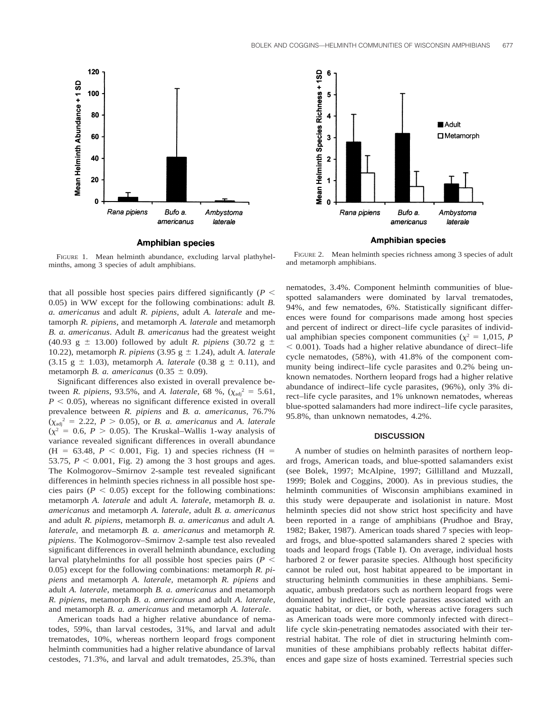

**Amphibian species** 

FIGURE 1. Mean helminth abundance, excluding larval plathyhelminths, among 3 species of adult amphibians.

that all possible host species pairs differed significantly  $(P \leq$ 0.05) in WW except for the following combinations: adult *B. a. americanus* and adult *R. pipiens*, adult *A. laterale* and metamorph *R. pipiens*, and metamorph *A. laterale* and metamorph *B. a. americanus*. Adult *B. americanus* had the greatest weight (40.93 g  $\pm$  13.00) followed by adult *R. pipiens* (30.72 g  $\pm$ 10.22), metamorph *R. pipiens* (3.95 g  $\pm$  1.24), adult *A. laterale* (3.15 g  $\pm$  1.03), metamorph *A. laterale* (0.38 g  $\pm$  0.11), and metamorph *B. a. americanus* (0.35  $\pm$  0.09).

Significant differences also existed in overall prevalence between *R. pipiens*, 93.5%, and *A. laterale*, 68 %,  $(\chi_{\text{adi}}^2 = 5.61,$  $P < 0.05$ ), whereas no significant difference existed in overall prevalence between *R. pipiens* and *B. a. americanus*, 76.7%  $(\chi_{\text{adi}}^2 = 2.22, P > 0.05)$ , or *B. a. americanus* and *A. laterale*  $(\chi^2 = 0.6, P > 0.05)$ . The Kruskal–Wallis 1-way analysis of variance revealed significant differences in overall abundance  $(H = 63.48, P < 0.001, Fig. 1)$  and species richness  $(H = 1)$ 53.75,  $P < 0.001$ , Fig. 2) among the 3 host groups and ages. The Kolmogorov–Smirnov 2-sample test revealed significant differences in helminth species richness in all possible host species pairs ( $P < 0.05$ ) except for the following combinations: metamorph *A. laterale* and adult *A. laterale*, metamorph *B. a. americanus* and metamorph *A. laterale*, adult *B. a. americanus* and adult *R. pipiens*, metamorph *B. a. americanus* and adult *A. laterale*, and metamorph *B. a. americanus* and metamorph *R. pipiens*. The Kolmogorov–Smirnov 2-sample test also revealed significant differences in overall helminth abundance, excluding larval platyhelminths for all possible host species pairs ( $P$  < 0.05) except for the following combinations: metamorph *R. pipiens* and metamorph *A. laterale*, metamorph *R. pipiens* and adult *A. laterale*, metamorph *B. a. americanus* and metamorph *R. pipiens*, metamorph *B. a. americanus* and adult *A. laterale*, and metamorph *B. a. americanus* and metamorph *A. laterale*.

American toads had a higher relative abundance of nematodes, 59%, than larval cestodes, 31%, and larval and adult trematodes, 10%, whereas northern leopard frogs component helminth communities had a higher relative abundance of larval cestodes, 71.3%, and larval and adult trematodes, 25.3%, than



#### **Amphibian species**

FIGURE 2. Mean helminth species richness among 3 species of adult and metamorph amphibians.

nematodes, 3.4%. Component helminth communities of bluespotted salamanders were dominated by larval trematodes, 94%, and few nematodes, 6%. Statistically significant differences were found for comparisons made among host species and percent of indirect or direct–life cycle parasites of individual amphibian species component communities ( $\chi^2 = 1,015, P$  $<$  0.001). Toads had a higher relative abundance of direct–life cycle nematodes, (58%), with 41.8% of the component community being indirect–life cycle parasites and 0.2% being unknown nematodes. Northern leopard frogs had a higher relative abundance of indirect–life cycle parasites, (96%), only 3% direct–life cycle parasites, and 1% unknown nematodes, whereas blue-spotted salamanders had more indirect–life cycle parasites, 95.8%, than unknown nematodes, 4.2%.

## **DISCUSSION**

A number of studies on helminth parasites of northern leopard frogs, American toads, and blue-spotted salamanders exist (see Bolek, 1997; McAlpine, 1997; Gillilland and Muzzall, 1999; Bolek and Coggins, 2000). As in previous studies, the helminth communities of Wisconsin amphibians examined in this study were depauperate and isolationist in nature. Most helminth species did not show strict host specificity and have been reported in a range of amphibians (Prudhoe and Bray, 1982; Baker, 1987). American toads shared 7 species with leopard frogs, and blue-spotted salamanders shared 2 species with toads and leopard frogs (Table I). On average, individual hosts harbored 2 or fewer parasite species. Although host specificity cannot be ruled out, host habitat appeared to be important in structuring helminth communities in these amphibians. Semiaquatic, ambush predators such as northern leopard frogs were dominated by indirect–life cycle parasites associated with an aquatic habitat, or diet, or both, whereas active foragers such as American toads were more commonly infected with direct– life cycle skin-penetrating nematodes associated with their terrestrial habitat. The role of diet in structuring helminth communities of these amphibians probably reflects habitat differences and gape size of hosts examined. Terrestrial species such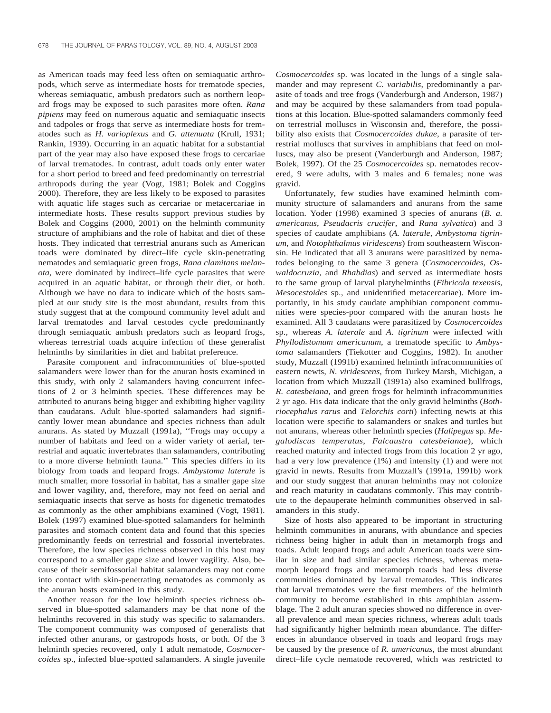as American toads may feed less often on semiaquatic arthropods, which serve as intermediate hosts for trematode species, whereas semiaquatic, ambush predators such as northern leopard frogs may be exposed to such parasites more often. *Rana pipiens* may feed on numerous aquatic and semiaquatic insects and tadpoles or frogs that serve as intermediate hosts for trematodes such as *H. varioplexus* and *G. attenuata* (Krull, 1931; Rankin, 1939). Occurring in an aquatic habitat for a substantial part of the year may also have exposed these frogs to cercariae of larval trematodes. In contrast, adult toads only enter water for a short period to breed and feed predominantly on terrestrial arthropods during the year (Vogt, 1981; Bolek and Coggins 2000). Therefore, they are less likely to be exposed to parasites with aquatic life stages such as cercariae or metacercariae in intermediate hosts. These results support previous studies by Bolek and Coggins (2000, 2001) on the helminth community structure of amphibians and the role of habitat and diet of these hosts. They indicated that terrestrial anurans such as American toads were dominated by direct–life cycle skin-penetrating nematodes and semiaquatic green frogs, *Rana clamitans melanota*, were dominated by indirect–life cycle parasites that were acquired in an aquatic habitat, or through their diet, or both. Although we have no data to indicate which of the hosts sampled at our study site is the most abundant, results from this study suggest that at the compound community level adult and larval trematodes and larval cestodes cycle predominantly through semiaquatic ambush predators such as leopard frogs, whereas terrestrial toads acquire infection of these generalist helminths by similarities in diet and habitat preference.

Parasite component and infracommunities of blue-spotted salamanders were lower than for the anuran hosts examined in this study, with only 2 salamanders having concurrent infections of 2 or 3 helminth species. These differences may be attributed to anurans being bigger and exhibiting higher vagility than caudatans. Adult blue-spotted salamanders had significantly lower mean abundance and species richness than adult anurans. As stated by Muzzall (1991a), ''Frogs may occupy a number of habitats and feed on a wider variety of aerial, terrestrial and aquatic invertebrates than salamanders, contributing to a more diverse helminth fauna.'' This species differs in its biology from toads and leopard frogs. *Ambystoma laterale* is much smaller, more fossorial in habitat, has a smaller gape size and lower vagility, and, therefore, may not feed on aerial and semiaquatic insects that serve as hosts for digenetic trematodes as commonly as the other amphibians examined (Vogt, 1981). Bolek (1997) examined blue-spotted salamanders for helminth parasites and stomach content data and found that this species predominantly feeds on terrestrial and fossorial invertebrates. Therefore, the low species richness observed in this host may correspond to a smaller gape size and lower vagility. Also, because of their semifossorial habitat salamanders may not come into contact with skin-penetrating nematodes as commonly as the anuran hosts examined in this study.

Another reason for the low helminth species richness observed in blue-spotted salamanders may be that none of the helminths recovered in this study was specific to salamanders. The component community was composed of generalists that infected other anurans, or gastropods hosts, or both. Of the 3 helminth species recovered, only 1 adult nematode, *Cosmocercoides* sp., infected blue-spotted salamanders. A single juvenile

*Cosmocercoides* sp. was located in the lungs of a single salamander and may represent *C. variabilis*, predominantly a parasite of toads and tree frogs (Vanderburgh and Anderson, 1987) and may be acquired by these salamanders from toad populations at this location. Blue-spotted salamanders commonly feed on terrestrial molluscs in Wisconsin and, therefore, the possibility also exists that *Cosmocercoides dukae*, a parasite of terrestrial molluscs that survives in amphibians that feed on molluscs, may also be present (Vanderburgh and Anderson, 1987; Bolek, 1997). Of the 25 *Cosmocercoides* sp. nematodes recovered, 9 were adults, with 3 males and 6 females; none was gravid.

Unfortunately, few studies have examined helminth community structure of salamanders and anurans from the same location. Yoder (1998) examined 3 species of anurans (*B. a. americanus*, *Pseudacris crucifer*, and *Rana sylvatica*) and 3 species of caudate amphibians (*A. laterale*, *Ambystoma tigrinum*, and *Notophthalmus viridescens*) from southeastern Wisconsin. He indicated that all 3 anurans were parasitized by nematodes belonging to the same 3 genera (*Cosmocercoides*, *Oswaldocruzia*, and *Rhabdias*) and served as intermediate hosts to the same group of larval platyhelminths (*Fibricola texensis*, *Mesocestoides* sp., and unidentified metacercariae). More importantly, in his study caudate amphibian component communities were species-poor compared with the anuran hosts he examined. All 3 caudatans were parasitized by *Cosmocercoides* sp., whereas *A. laterale* and *A. tigrinum* were infected with *Phyllodistomum americanum*, a trematode specific to *Ambystoma* salamanders (Tiekotter and Coggins, 1982). In another study, Muzzall (1991b) examined helminth infracommunities of eastern newts, *N. viridescens*, from Turkey Marsh, Michigan, a location from which Muzzall (1991a) also examined bullfrogs, *R. catesbeiana*, and green frogs for helminth infracommunities 2 yr ago. His data indicate that the only gravid helminths (*Bothriocephalus rarus* and *Telorchis corti*) infecting newts at this location were specific to salamanders or snakes and turtles but not anurans, whereas other helminth species (*Halipegus* sp. *Megalodiscus temperatus*, *Falcaustra catesbeianae*), which reached maturity and infected frogs from this location 2 yr ago, had a very low prevalence (1%) and intensity (1) and were not gravid in newts. Results from Muzzall's (1991a, 1991b) work and our study suggest that anuran helminths may not colonize and reach maturity in caudatans commonly. This may contribute to the depauperate helminth communities observed in salamanders in this study.

Size of hosts also appeared to be important in structuring helminth communities in anurans, with abundance and species richness being higher in adult than in metamorph frogs and toads. Adult leopard frogs and adult American toads were similar in size and had similar species richness, whereas metamorph leopard frogs and metamorph toads had less diverse communities dominated by larval trematodes. This indicates that larval trematodes were the first members of the helminth community to become established in this amphibian assemblage. The 2 adult anuran species showed no difference in overall prevalence and mean species richness, whereas adult toads had significantly higher helminth mean abundance. The differences in abundance observed in toads and leopard frogs may be caused by the presence of *R. americanus*, the most abundant direct–life cycle nematode recovered, which was restricted to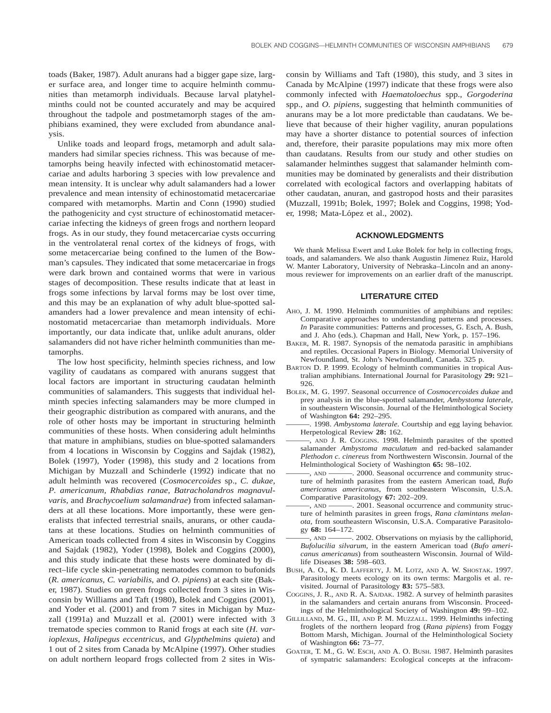toads (Baker, 1987). Adult anurans had a bigger gape size, larger surface area, and longer time to acquire helminth communities than metamorph individuals. Because larval platyhelminths could not be counted accurately and may be acquired throughout the tadpole and postmetamorph stages of the amphibians examined, they were excluded from abundance analysis.

Unlike toads and leopard frogs, metamorph and adult salamanders had similar species richness. This was because of metamorphs being heavily infected with echinostomatid metacercariae and adults harboring 3 species with low prevalence and mean intensity. It is unclear why adult salamanders had a lower prevalence and mean intensity of echinostomatid metacercariae compared with metamorphs. Martin and Conn (1990) studied the pathogenicity and cyst structure of echinostomatid metacercariae infecting the kidneys of green frogs and northern leopard frogs. As in our study, they found metacercariae cysts occurring in the ventrolateral renal cortex of the kidneys of frogs, with some metacercariae being confined to the lumen of the Bowman's capsules. They indicated that some metacercariae in frogs were dark brown and contained worms that were in various stages of decomposition. These results indicate that at least in frogs some infections by larval forms may be lost over time, and this may be an explanation of why adult blue-spotted salamanders had a lower prevalence and mean intensity of echinostomatid metacercariae than metamorph individuals. More importantly, our data indicate that, unlike adult anurans, older salamanders did not have richer helminth communities than metamorphs.

The low host specificity, helminth species richness, and low vagility of caudatans as compared with anurans suggest that local factors are important in structuring caudatan helminth communities of salamanders. This suggests that individual helminth species infecting salamanders may be more clumped in their geographic distribution as compared with anurans, and the role of other hosts may be important in structuring helminth communities of these hosts. When considering adult helminths that mature in amphibians, studies on blue-spotted salamanders from 4 locations in Wisconsin by Coggins and Sajdak (1982), Bolek (1997), Yoder (1998), this study and 2 locations from Michigan by Muzzall and Schinderle (1992) indicate that no adult helminth was recovered (*Cosmocercoides* sp., *C. dukae, P. americanum, Rhabdias ranae, Batracholandros magnavulvaris*, and *Brachycoelium salamandrae*) from infected salamanders at all these locations. More importantly, these were generalists that infected terrestrial snails, anurans, or other caudatans at these locations. Studies on helminth communities of American toads collected from 4 sites in Wisconsin by Coggins and Sajdak (1982), Yoder (1998), Bolek and Coggins (2000), and this study indicate that these hosts were dominated by direct–life cycle skin-penetrating nematodes common to bufonids (*R. americanus, C. variabilis*, and *O. pipiens*) at each site (Baker, 1987). Studies on green frogs collected from 3 sites in Wisconsin by Williams and Taft (1980), Bolek and Coggins (2001), and Yoder et al. (2001) and from 7 sites in Michigan by Muzzall (1991a) and Muzzall et al. (2001) were infected with 3 trematode species common to Ranid frogs at each site (*H. varioplexus, Halipegus eccentricus*, and *Glypthelmins quieta*) and 1 out of 2 sites from Canada by McAlpine (1997). Other studies on adult northern leopard frogs collected from 2 sites in Wis-

consin by Williams and Taft (1980), this study, and 3 sites in Canada by McAlpine (1997) indicate that these frogs were also commonly infected with *Haematoloechus* spp., *Gorgoderina* spp., and *O. pipiens*, suggesting that helminth communities of anurans may be a lot more predictable than caudatans. We believe that because of their higher vagility, anuran populations may have a shorter distance to potential sources of infection and, therefore, their parasite populations may mix more often than caudatans. Results from our study and other studies on salamander helminthes suggest that salamander helminth communities may be dominated by generalists and their distribution correlated with ecological factors and overlapping habitats of other caudatan, anuran, and gastropod hosts and their parasites (Muzzall, 1991b; Bolek, 1997; Bolek and Coggins, 1998; Yoder, 1998; Mata-López et al., 2002).

#### **ACKNOWLEDGMENTS**

We thank Melissa Ewert and Luke Bolek for help in collecting frogs, toads, and salamanders. We also thank Augustin Jimenez Ruiz, Harold W. Manter Laboratory, University of Nebraska–Lincoln and an anonymous reviewer for improvements on an earlier draft of the manuscript.

## **LITERATURE CITED**

- AHO, J. M. 1990. Helminth communities of amphibians and reptiles: Comparative approaches to understanding patterns and processes. *In* Parasite communities: Patterns and processes, G. Esch, A. Bush, and J. Aho (eds.). Chapman and Hall, New York, p. 157–196.
- BAKER, M. R. 1987. Synopsis of the nematoda parasitic in amphibians and reptiles. Occasional Papers in Biology. Memorial University of Newfoundland, St. John's Newfoundland, Canada. 325 p.
- BARTON D. P. 1999. Ecology of helminth communities in tropical Australian amphibians. International Journal for Parasitology **29:** 921– 926.
- BOLEK, M. G. 1997. Seasonal occurrence of *Cosmocercoides dukae* and prey analysis in the blue-spotted salamander, *Ambystoma laterale*, in southeastern Wisconsin. Journal of the Helminthological Society of Washington **64:** 292–295.
- 1998. Ambystoma laterale. Courtship and egg laying behavior. Herpetological Review **28:** 162.
- ———, AND J. R. COGGINS. 1998. Helminth parasites of the spotted salamander *Ambystoma maculatum* and red-backed salamander *Plethodon c. cinereus* from Northwestern Wisconsin. Journal of the Helminthological Society of Washington **65:** 98–102.
- ———, AND ———. 2000. Seasonal occurrence and community structure of helminth parasites from the eastern American toad, *Bufo americanus americanus*, from southeastern Wisconsin, U.S.A. Comparative Parasitology **67:** 202–209.
- 2001. Seasonal occurrence and community structure of helminth parasites in green frogs, *Rana clamintans melanota*, from southeastern Wisconsin, U.S.A. Comparative Parasitology **68:** 164–172.
- -, AND ————————. 2002. Observations on myiasis by the calliphorid, *Bufolucilia silvarum*, in the eastern American toad (*Bufo americanus americanus*) from southeastern Wisconsin. Journal of Wildlife Diseases **38:** 598–603.
- BUSH, A. O., K. D. LAFFERTY, J. M. LOTZ, AND A. W. SHOSTAK. 1997. Parasitology meets ecology on its own terms: Margolis et al. revisited. Journal of Parasitology **83:** 575–583.
- COGGINS, J. R., AND R. A. SAJDAK. 1982. A survey of helminth parasites in the salamanders and certain anurans from Wisconsin. Proceedings of the Helminthological Society of Washington **49:** 99–102.
- GILLILLAND, M. G., III, AND P. M. MUZZALL. 1999. Helminths infecting froglets of the northern leopard frog (*Rana pipiens*) from Foggy Bottom Marsh, Michigan. Journal of the Helminthological Society of Washington **66:** 73–77.
- GOATER, T. M., G. W. ESCH, AND A. O. BUSH. 1987. Helminth parasites of sympatric salamanders: Ecological concepts at the infracom-